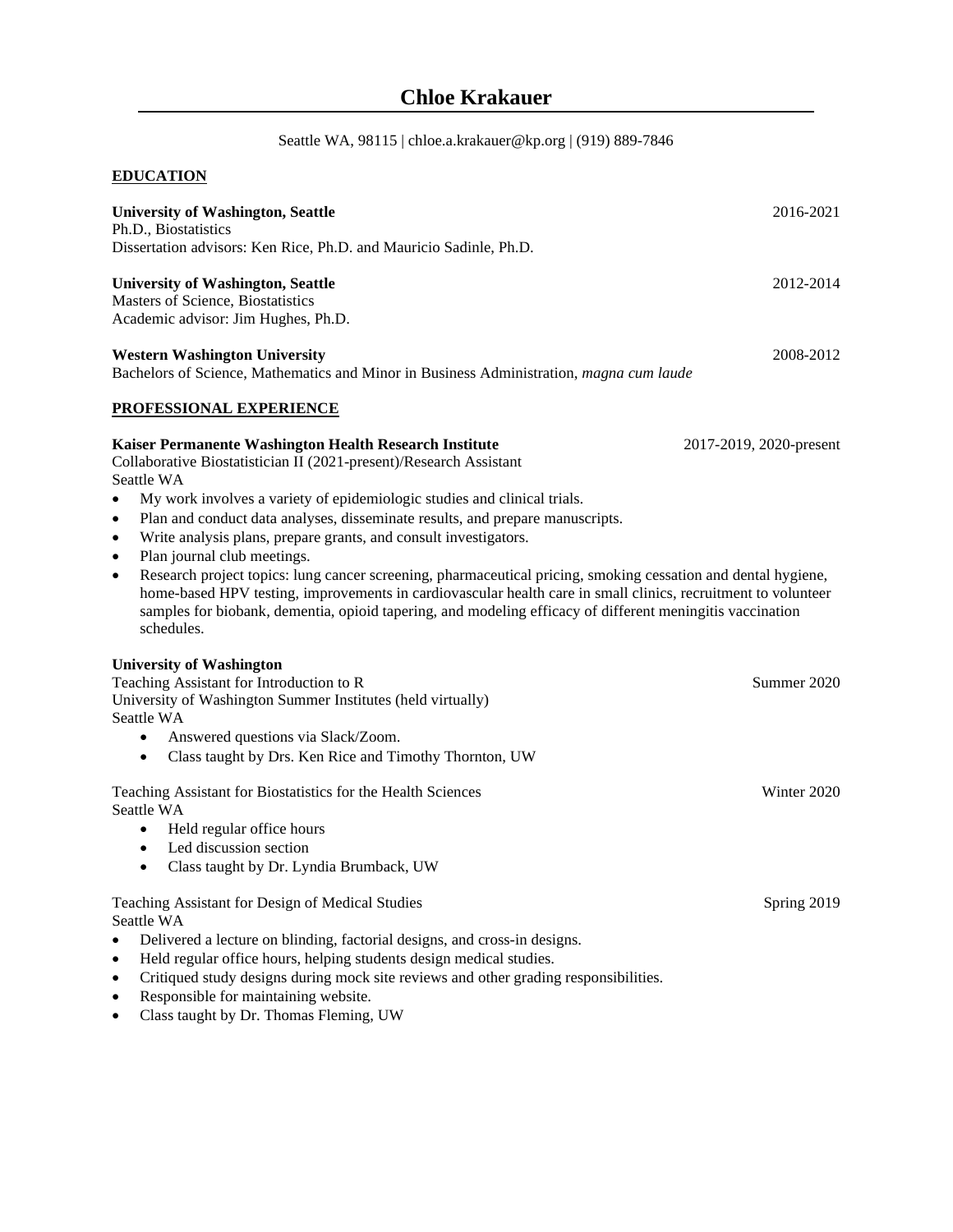Seattle WA, 98115 | chloe.a.krakauer@kp.org | (919) 889-7846

# **EDUCATION**

| <b>University of Washington, Seattle</b><br>Ph.D., Biostatistics                                                                                                                                                                                                                                                                                                                                                   | 2016-2021               |
|--------------------------------------------------------------------------------------------------------------------------------------------------------------------------------------------------------------------------------------------------------------------------------------------------------------------------------------------------------------------------------------------------------------------|-------------------------|
| Dissertation advisors: Ken Rice, Ph.D. and Mauricio Sadinle, Ph.D.                                                                                                                                                                                                                                                                                                                                                 |                         |
| <b>University of Washington, Seattle</b><br><b>Masters of Science, Biostatistics</b><br>Academic advisor: Jim Hughes, Ph.D.                                                                                                                                                                                                                                                                                        | 2012-2014               |
| <b>Western Washington University</b><br>Bachelors of Science, Mathematics and Minor in Business Administration, <i>magna cum laude</i>                                                                                                                                                                                                                                                                             | 2008-2012               |
| PROFESSIONAL EXPERIENCE                                                                                                                                                                                                                                                                                                                                                                                            |                         |
| Kaiser Permanente Washington Health Research Institute<br>Collaborative Biostatistician II (2021-present)/Research Assistant<br>Seattle WA<br>My work involves a variety of epidemiologic studies and clinical trials.<br>$\bullet$<br>Plan and conduct data analyses, disseminate results, and prepare manuscripts.<br>٠<br>Write analysis plans, prepare grants, and consult investigators.<br>$\bullet$         | 2017-2019, 2020-present |
| Plan journal club meetings.<br>$\bullet$<br>Research project topics: lung cancer screening, pharmaceutical pricing, smoking cessation and dental hygiene,<br>$\bullet$<br>home-based HPV testing, improvements in cardiovascular health care in small clinics, recruitment to volunteer<br>samples for biobank, dementia, opioid tapering, and modeling efficacy of different meningitis vaccination<br>schedules. |                         |
| <b>University of Washington</b><br>Teaching Assistant for Introduction to R<br>University of Washington Summer Institutes (held virtually)<br>Seattle WA<br>Answered questions via Slack/Zoom.<br>$\bullet$<br>Class taught by Drs. Ken Rice and Timothy Thornton, UW<br>$\bullet$                                                                                                                                 | Summer 2020             |
| Teaching Assistant for Biostatistics for the Health Sciences<br>Seattle WA<br>Held regular office hours<br>$\bullet$<br>Led discussion section<br>$\bullet$<br>Class taught by Dr. Lyndia Brumback, UW<br>$\bullet$                                                                                                                                                                                                | Winter 2020             |
| Teaching Assistant for Design of Medical Studies<br>Seattle WA<br>Delivered a lecture on blinding, factorial designs, and cross-in designs.<br>$\bullet$<br>Held regular office hours, helping students design medical studies.<br>٠<br>Critiqued study designs during mock site reviews and other grading responsibilities.<br>$\bullet$<br>Responsible for maintaining website.<br>$\bullet$                     | Spring 2019             |

• Class taught by Dr. Thomas Fleming, UW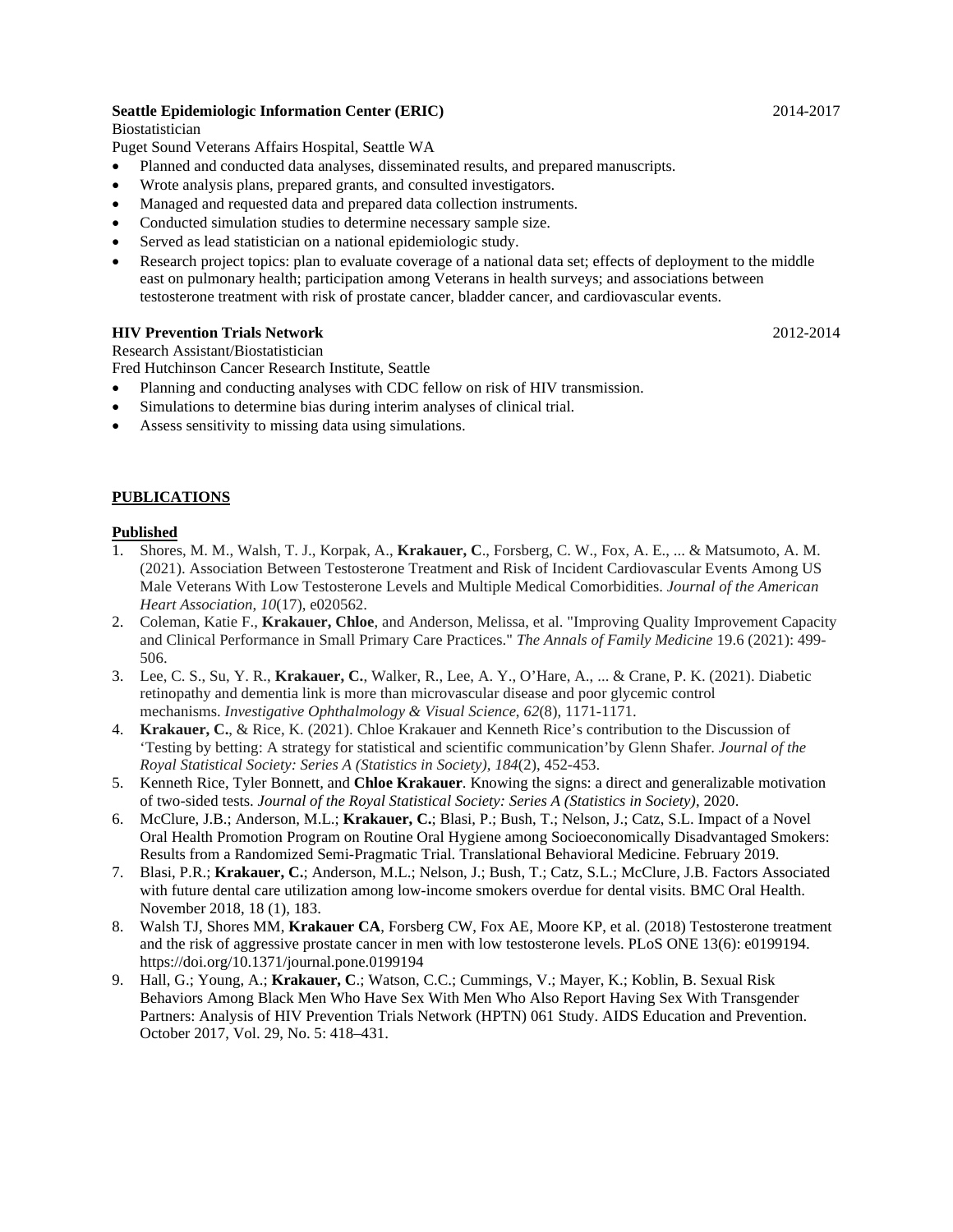## **Seattle Epidemiologic Information Center (ERIC)** 2014-2017

Biostatistician

Puget Sound Veterans Affairs Hospital, Seattle WA

- Planned and conducted data analyses, disseminated results, and prepared manuscripts.
- Wrote analysis plans, prepared grants, and consulted investigators.
- Managed and requested data and prepared data collection instruments.
- Conducted simulation studies to determine necessary sample size.
- Served as lead statistician on a national epidemiologic study.
- Research project topics: plan to evaluate coverage of a national data set; effects of deployment to the middle east on pulmonary health; participation among Veterans in health surveys; and associations between testosterone treatment with risk of prostate cancer, bladder cancer, and cardiovascular events.

#### **HIV Prevention Trials Network** 2012-2014

Research Assistant/Biostatistician

Fred Hutchinson Cancer Research Institute, Seattle

- Planning and conducting analyses with CDC fellow on risk of HIV transmission.
- Simulations to determine bias during interim analyses of clinical trial.
- Assess sensitivity to missing data using simulations.

## **PUBLICATIONS**

#### **Published**

- 1. Shores, M. M., Walsh, T. J., Korpak, A., **Krakauer, C**., Forsberg, C. W., Fox, A. E., ... & Matsumoto, A. M. (2021). Association Between Testosterone Treatment and Risk of Incident Cardiovascular Events Among US Male Veterans With Low Testosterone Levels and Multiple Medical Comorbidities. *Journal of the American Heart Association*, *10*(17), e020562.
- 2. Coleman, Katie F., **Krakauer, Chloe**, and Anderson, Melissa, et al. "Improving Quality Improvement Capacity and Clinical Performance in Small Primary Care Practices." *The Annals of Family Medicine* 19.6 (2021): 499- 506.
- 3. Lee, C. S., Su, Y. R., **Krakauer, C.**, Walker, R., Lee, A. Y., O'Hare, A., ... & Crane, P. K. (2021). Diabetic retinopathy and dementia link is more than microvascular disease and poor glycemic control mechanisms. *Investigative Ophthalmology & Visual Science*, *62*(8), 1171-1171.
- 4. **Krakauer, C.**, & Rice, K. (2021). Chloe Krakauer and Kenneth Rice's contribution to the Discussion of 'Testing by betting: A strategy for statistical and scientific communication'by Glenn Shafer. *Journal of the Royal Statistical Society: Series A (Statistics in Society)*, *184*(2), 452-453.
- 5. Kenneth Rice, Tyler Bonnett, and **Chloe Krakauer**. Knowing the signs: a direct and generalizable motivation of two-sided tests. *Journal of the Royal Statistical Society: Series A (Statistics in Society)*, 2020.
- 6. McClure, J.B.; Anderson, M.L.; **Krakauer, C.**; Blasi, P.; Bush, T.; Nelson, J.; Catz, S.L. Impact of a Novel Oral Health Promotion Program on Routine Oral Hygiene among Socioeconomically Disadvantaged Smokers: Results from a Randomized Semi-Pragmatic Trial. Translational Behavioral Medicine. February 2019.
- 7. Blasi, P.R.; **Krakauer, C.**; Anderson, M.L.; Nelson, J.; Bush, T.; Catz, S.L.; McClure, J.B. Factors Associated with future dental care utilization among low-income smokers overdue for dental visits. BMC Oral Health. November 2018, 18 (1), 183.
- 8. Walsh TJ, Shores MM, **Krakauer CA**, Forsberg CW, Fox AE, Moore KP, et al. (2018) Testosterone treatment and the risk of aggressive prostate cancer in men with low testosterone levels. PLoS ONE 13(6): e0199194. https://doi.org/10.1371/journal.pone.0199194
- 9. Hall, G.; Young, A.; **Krakauer, C**.; Watson, C.C.; Cummings, V.; Mayer, K.; Koblin, B. Sexual Risk Behaviors Among Black Men Who Have Sex With Men Who Also Report Having Sex With Transgender Partners: Analysis of HIV Prevention Trials Network (HPTN) 061 Study. AIDS Education and Prevention. October 2017, Vol. 29, No. 5: 418–431.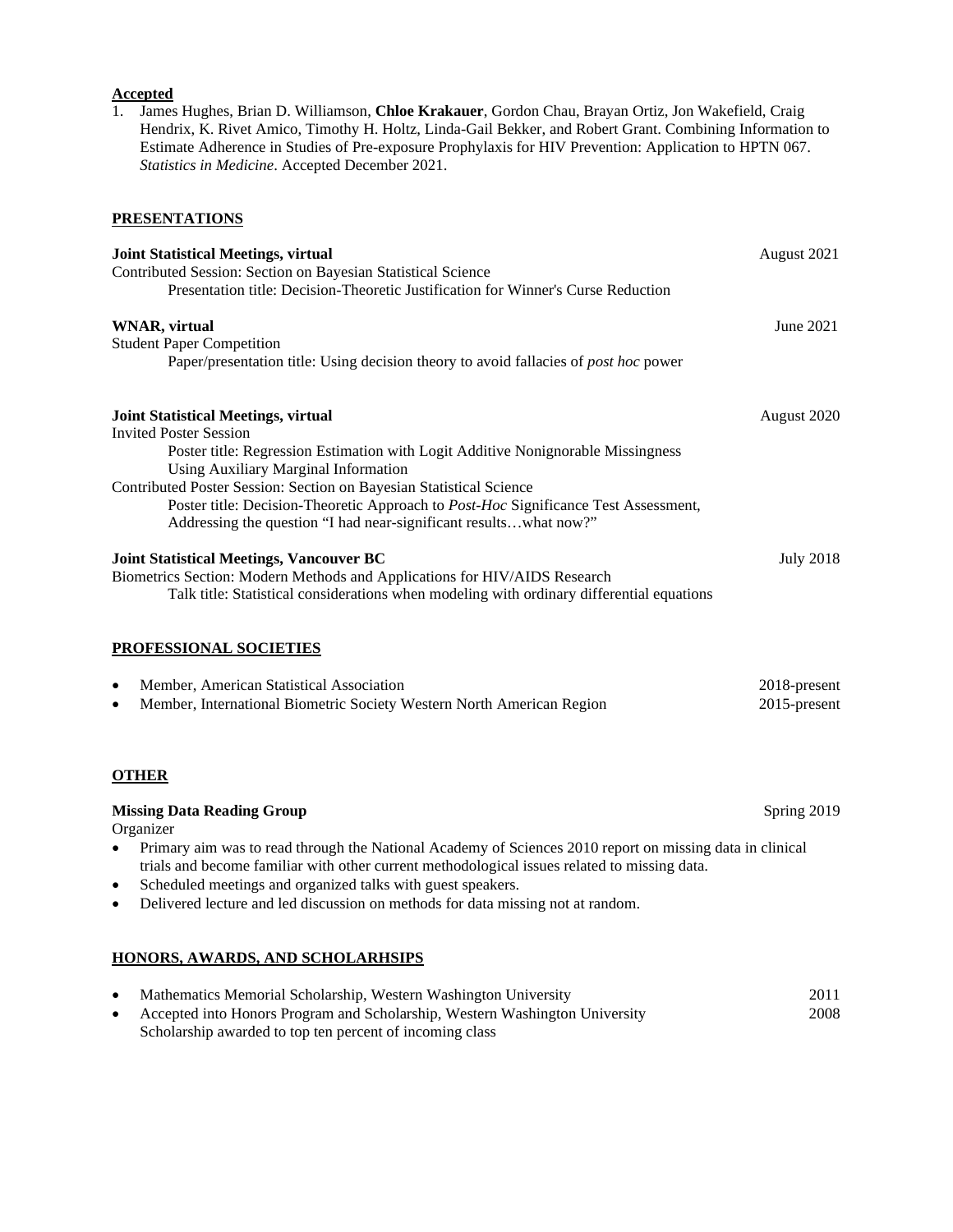## **Accepted**

1. James Hughes, Brian D. Williamson, **Chloe Krakauer**, Gordon Chau, Brayan Ortiz, Jon Wakefield, Craig Hendrix, K. Rivet Amico, Timothy H. Holtz, Linda-Gail Bekker, and Robert Grant. Combining Information to Estimate Adherence in Studies of Pre-exposure Prophylaxis for HIV Prevention: Application to HPTN 067. *Statistics in Medicine*. Accepted December 2021.

## **PRESENTATIONS**

| <b>Joint Statistical Meetings, virtual</b>                                                                                      | August 2021      |
|---------------------------------------------------------------------------------------------------------------------------------|------------------|
| Contributed Session: Section on Bayesian Statistical Science                                                                    |                  |
| Presentation title: Decision-Theoretic Justification for Winner's Curse Reduction                                               |                  |
| <b>WNAR</b> , virtual                                                                                                           | June 2021        |
| <b>Student Paper Competition</b>                                                                                                |                  |
| Paper/presentation title: Using decision theory to avoid fallacies of <i>post hoc</i> power                                     |                  |
| <b>Joint Statistical Meetings, virtual</b>                                                                                      | August 2020      |
| <b>Invited Poster Session</b>                                                                                                   |                  |
| Poster title: Regression Estimation with Logit Additive Nonignorable Missingness<br><b>Using Auxiliary Marginal Information</b> |                  |
| Contributed Poster Session: Section on Bayesian Statistical Science                                                             |                  |
| Poster title: Decision-Theoretic Approach to Post-Hoc Significance Test Assessment,                                             |                  |
| Addressing the question "I had near-significant resultswhat now?"                                                               |                  |
| <b>Joint Statistical Meetings, Vancouver BC</b>                                                                                 | <b>July 2018</b> |
| Biometrics Section: Modern Methods and Applications for HIV/AIDS Research                                                       |                  |
| Talk title: Statistical considerations when modeling with ordinary differential equations                                       |                  |
| PROFESSIONAL SOCIETIES                                                                                                          |                  |
| Member, American Statistical Association<br>$\bullet$                                                                           | 2018-present     |
| Member, International Biometric Society Western North American Region<br>$\bullet$                                              | 2015-present     |
| <b>OTHER</b>                                                                                                                    |                  |
| <b>Missing Data Reading Group</b><br>Organizer                                                                                  | Spring 2019      |
| Primary aim was to read through the National Academy of Sciences 2010 report on missing data in clinical                        |                  |

- trials and become familiar with other current methodological issues related to missing data.
- Scheduled meetings and organized talks with guest speakers.
- Delivered lecture and led discussion on methods for data missing not at random.

## **HONORS, AWARDS, AND SCHOLARHSIPS**

| Mathematics Memorial Scholarship, Western Washington University             | 2011 |
|-----------------------------------------------------------------------------|------|
| Accepted into Honors Program and Scholarship, Western Washington University | 2008 |
| Scholarship awarded to top ten percent of incoming class                    |      |